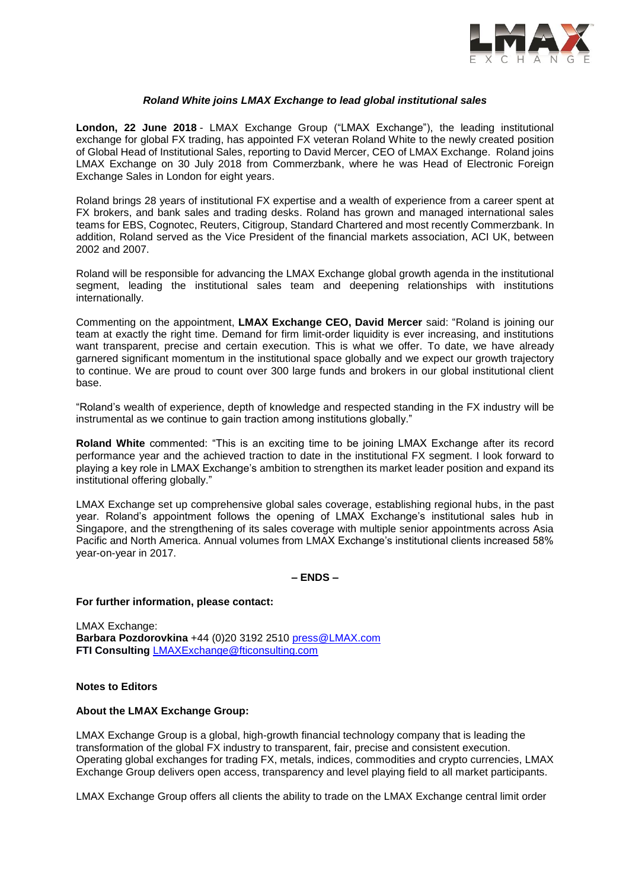

## *Roland White joins LMAX Exchange to lead global institutional sales*

**London, 22 June 2018** - LMAX Exchange Group ("LMAX Exchange"), the leading institutional exchange for global FX trading, has appointed FX veteran Roland White to the newly created position of Global Head of Institutional Sales, reporting to David Mercer, CEO of LMAX Exchange. Roland joins LMAX Exchange on 30 July 2018 from Commerzbank, where he was Head of Electronic Foreign Exchange Sales in London for eight years.

Roland brings 28 years of institutional FX expertise and a wealth of experience from a career spent at FX brokers, and bank sales and trading desks. Roland has grown and managed international sales teams for EBS, Cognotec, Reuters, Citigroup, Standard Chartered and most recently Commerzbank. In addition, Roland served as the Vice President of the financial markets association, ACI UK, between 2002 and 2007.

Roland will be responsible for advancing the LMAX Exchange global growth agenda in the institutional segment, leading the institutional sales team and deepening relationships with institutions internationally.

Commenting on the appointment, **LMAX Exchange CEO, David Mercer** said: "Roland is joining our team at exactly the right time. Demand for firm limit-order liquidity is ever increasing, and institutions want transparent, precise and certain execution. This is what we offer. To date, we have already garnered significant momentum in the institutional space globally and we expect our growth trajectory to continue. We are proud to count over 300 large funds and brokers in our global institutional client base.

"Roland's wealth of experience, depth of knowledge and respected standing in the FX industry will be instrumental as we continue to gain traction among institutions globally."

**Roland White** commented: "This is an exciting time to be joining LMAX Exchange after its record performance year and the achieved traction to date in the institutional FX segment. I look forward to playing a key role in LMAX Exchange's ambition to strengthen its market leader position and expand its institutional offering globally."

LMAX Exchange set up comprehensive global sales coverage, establishing regional hubs, in the past year. Roland's appointment follows the opening of LMAX Exchange's institutional sales hub in Singapore, and the strengthening of its sales coverage with multiple senior appointments across Asia Pacific and North America. Annual volumes from LMAX Exchange's institutional clients increased 58% year-on-year in 2017.

# **– ENDS –**

#### **For further information, please contact:**

LMAX Exchange: **Barbara Pozdorovkina** +44 (0)20 3192 2510 [press@LMAX.com](mailto:press@LMAX.com) **FTI Consulting** [LMAXExchange@fticonsulting.com](mailto:LMAXExchange@fticonsulting.com)

## **Notes to Editors**

### **About the LMAX Exchange Group:**

LMAX Exchange Group is a global, high-growth financial technology company that is leading the transformation of the global FX industry to transparent, fair, precise and consistent execution. Operating global exchanges for trading FX, metals, indices, commodities and crypto currencies, LMAX Exchange Group delivers open access, transparency and level playing field to all market participants.

LMAX Exchange Group offers all clients the ability to trade on the LMAX Exchange central limit order